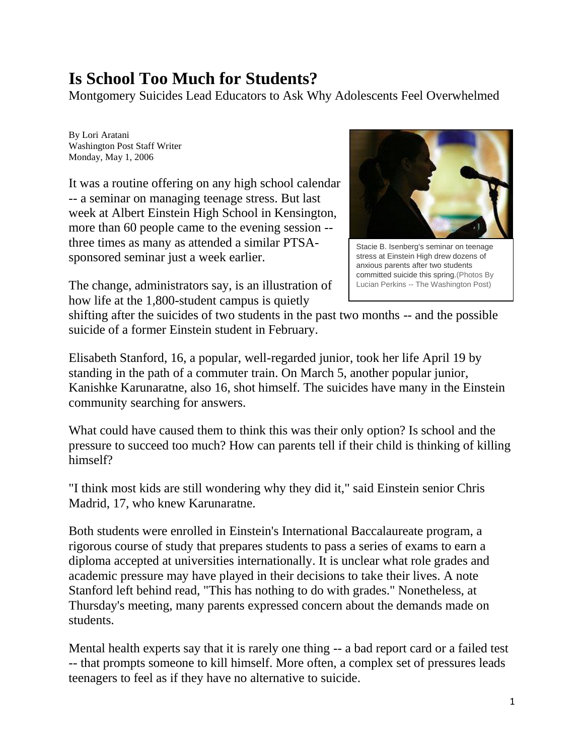## **Is School Too Much for Students?**

Montgomery Suicides Lead Educators to Ask Why Adolescents Feel Overwhelmed

By Lori Aratani Washington Post Staff Writer Monday, May 1, 2006

It was a routine offering on any high school calendar -- a seminar on managing teenage stress. But last week at Albert Einstein High School in Kensington, more than 60 people came to the evening session - three times as many as attended a similar PTSAsponsored seminar just a week earlier.



Stacie B. Isenberg's seminar on teenage stress at Einstein High drew dozens of anxious parents after two students committed suicide this spring.(Photos By Lucian Perkins -- The Washington Post)

The change, administrators say, is an illustration of how life at the 1,800-student campus is quietly

shifting after the suicides of two students in the past two months -- and the possible suicide of a former Einstein student in February.

Elisabeth Stanford, 16, a popular, well-regarded junior, took her life April 19 by standing in the path of a commuter train. On March 5, another popular junior, Kanishke Karunaratne, also 16, shot himself. The suicides have many in the Einstein community searching for answers.

What could have caused them to think this was their only option? Is school and the pressure to succeed too much? How can parents tell if their child is thinking of killing himself?

"I think most kids are still wondering why they did it," said Einstein senior Chris Madrid, 17, who knew Karunaratne.

Both students were enrolled in Einstein's International Baccalaureate program, a rigorous course of study that prepares students to pass a series of exams to earn a diploma accepted at universities internationally. It is unclear what role grades and academic pressure may have played in their decisions to take their lives. A note Stanford left behind read, "This has nothing to do with grades." Nonetheless, at Thursday's meeting, many parents expressed concern about the demands made on students.

Mental health experts say that it is rarely one thing -- a bad report card or a failed test -- that prompts someone to kill himself. More often, a complex set of pressures leads teenagers to feel as if they have no alternative to suicide.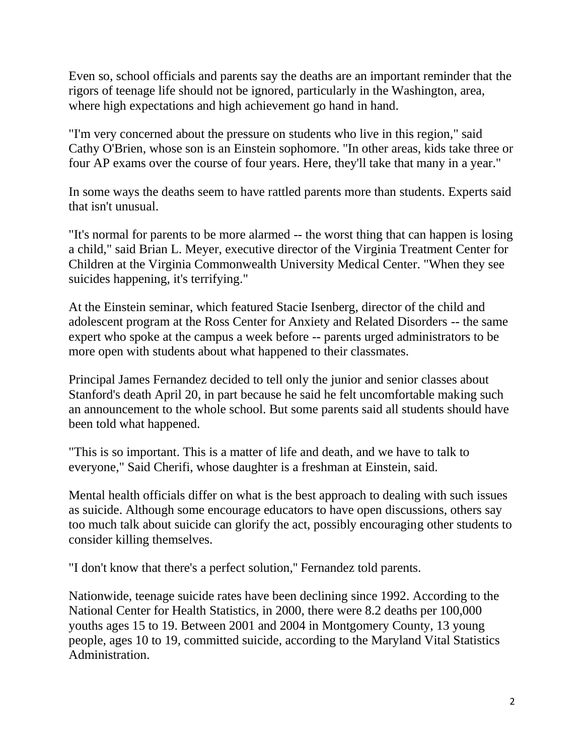Even so, school officials and parents say the deaths are an important reminder that the rigors of teenage life should not be ignored, particularly in the Washington, area, where high expectations and high achievement go hand in hand.

"I'm very concerned about the pressure on students who live in this region," said Cathy O'Brien, whose son is an Einstein sophomore. "In other areas, kids take three or four AP exams over the course of four years. Here, they'll take that many in a year."

In some ways the deaths seem to have rattled parents more than students. Experts said that isn't unusual.

"It's normal for parents to be more alarmed -- the worst thing that can happen is losing a child," said Brian L. Meyer, executive director of the Virginia Treatment Center for Children at the Virginia Commonwealth University Medical Center. "When they see suicides happening, it's terrifying."

At the Einstein seminar, which featured Stacie Isenberg, director of the child and adolescent program at the Ross Center for Anxiety and Related Disorders -- the same expert who spoke at the campus a week before -- parents urged administrators to be more open with students about what happened to their classmates.

Principal James Fernandez decided to tell only the junior and senior classes about Stanford's death April 20, in part because he said he felt uncomfortable making such an announcement to the whole school. But some parents said all students should have been told what happened.

"This is so important. This is a matter of life and death, and we have to talk to everyone," Said Cherifi, whose daughter is a freshman at Einstein, said.

Mental health officials differ on what is the best approach to dealing with such issues as suicide. Although some encourage educators to have open discussions, others say too much talk about suicide can glorify the act, possibly encouraging other students to consider killing themselves.

"I don't know that there's a perfect solution,'' Fernandez told parents.

Nationwide, teenage suicide rates have been declining since 1992. According to the National Center for Health Statistics, in 2000, there were 8.2 deaths per 100,000 youths ages 15 to 19. Between 2001 and 2004 in Montgomery County, 13 young people, ages 10 to 19, committed suicide, according to the Maryland Vital Statistics Administration.